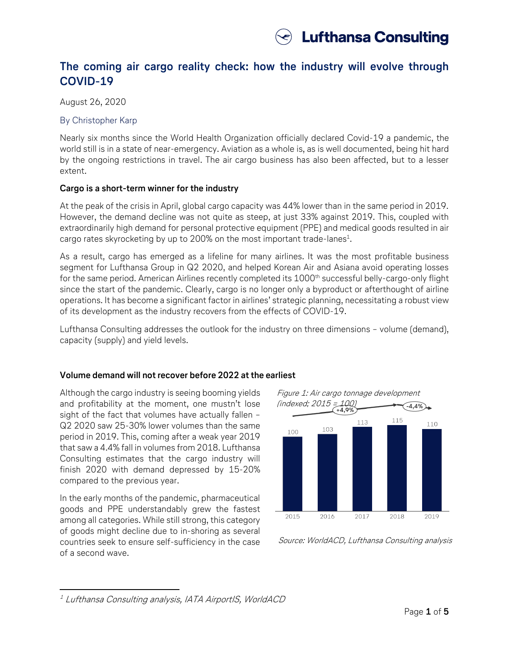# **The coming air cargo reality check: how the industry will evolve through COVID-19**

August 26, 2020

# By Christopher Karp

Nearly six months since the World Health Organization officially declared Covid-19 a pandemic, the world still is in a state of near-emergency. Aviation as a whole is, as is well documented, being hit hard by the ongoing restrictions in travel. The air cargo business has also been affected, but to a lesser extent.

# **Cargo is a short-term winner for the industry**

At the peak of the crisis in April, global cargo capacity was 44% lower than in the same period in 2019. However, the demand decline was not quite as steep, at just 33% against 2019. This, coupled with extraordinarily high demand for personal protective equipment (PPE) and medical goods resulted in air cargo rates skyrocketing by up to 200% on the most important trade-lanes $^{\text{1}}$ .

As a result, cargo has emerged as a lifeline for many airlines. It was the most profitable business segment for Lufthansa Group in Q2 2020, and helped Korean Air and Asiana avoid operating losses for the same period. American Airlines recently completed its 1000<sup>th</sup> successful belly-cargo-only flight since the start of the pandemic. Clearly, cargo is no longer only a byproduct or afterthought of airline operations. It has become a significant factor in airlines' strategic planning, necessitating a robust view of its development as the industry recovers from the effects of COVID-19.

Lufthansa Consulting addresses the outlook for the industry on three dimensions – volume (demand), capacity (supply) and yield levels.

# **Volume demand will not recover before 2022 at the earliest**

Although the cargo industry is seeing booming yields and profitability at the moment, one mustn't lose sight of the fact that volumes have actually fallen – Q2 2020 saw 25-30% lower volumes than the same period in 2019. This, coming after a weak year 2019 that saw a 4.4% fall in volumes from 2018. Lufthansa Consulting estimates that the cargo industry will finish 2020 with demand depressed by 15-20% compared to the previous year.

In the early months of the pandemic, pharmaceutical goods and PPE understandably grew the fastest among all categories. While still strong, this category of goods might decline due to in-shoring as several countries seek to ensure self-sufficiency in the case of a second wave.



Source: WorldACD, Lufthansa Consulting analysis

 $\overline{a}$ <sup>1</sup> Lufthansa Consulting analysis, IATA AirportIS, WorldACD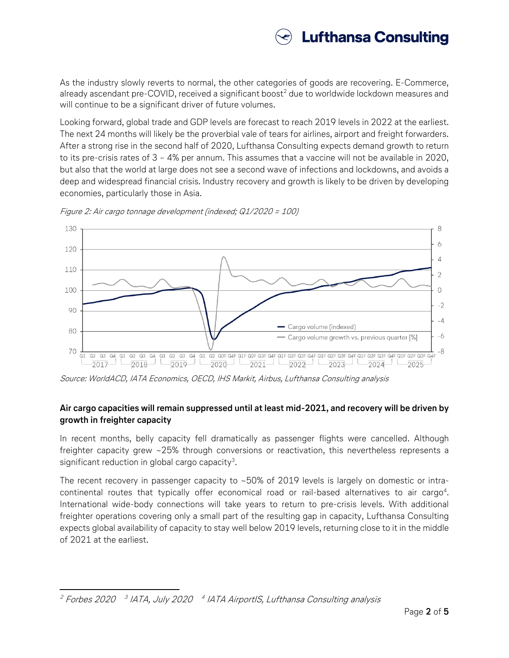# **Lufthansa Consulting**

As the industry slowly reverts to normal, the other categories of goods are recovering. E-Commerce, already ascendant pre-COVID, received a significant boost<sup>2</sup> due to worldwide lockdown measures and will continue to be a significant driver of future volumes.

Looking forward, global trade and GDP levels are forecast to reach 2019 levels in 2022 at the earliest. The next 24 months will likely be the proverbial vale of tears for airlines, airport and freight forwarders. After a strong rise in the second half of 2020, Lufthansa Consulting expects demand growth to return to its pre-crisis rates of 3 – 4% per annum. This assumes that a vaccine will not be available in 2020, but also that the world at large does not see a second wave of infections and lockdowns, and avoids a deep and widespread financial crisis. Industry recovery and growth is likely to be driven by developing economies, particularly those in Asia.



Figure 2: Air cargo tonnage development (indexed; Q1/2020 = 100)

Source: WorldACD, IATA Economics, OECD, IHS Markit, Airbus, Lufthansa Consulting analysis

# **Air cargo capacities will remain suppressed until at least mid-2021, and recovery will be driven by growth in freighter capacity**

In recent months, belly capacity fell dramatically as passenger flights were cancelled. Although freighter capacity grew ~25% through conversions or reactivation, this nevertheless represents a significant reduction in global cargo capacity $^3\!$ .

The recent recovery in passenger capacity to ~50% of 2019 levels is largely on domestic or intracontinental routes that typically offer economical road or rail-based alternatives to air cargo<sup>4</sup>. International wide-body connections will take years to return to pre-crisis levels. With additional freighter operations covering only a small part of the resulting gap in capacity, Lufthansa Consulting expects global availability of capacity to stay well below 2019 levels, returning close to it in the middle of 2021 at the earliest.

 $\overline{a}$ <sup>2</sup> Forbes 2020  $^{-3}$  IATA, July 2020  $^{-4}$  IATA AirportIS, Lufthansa Consulting analysis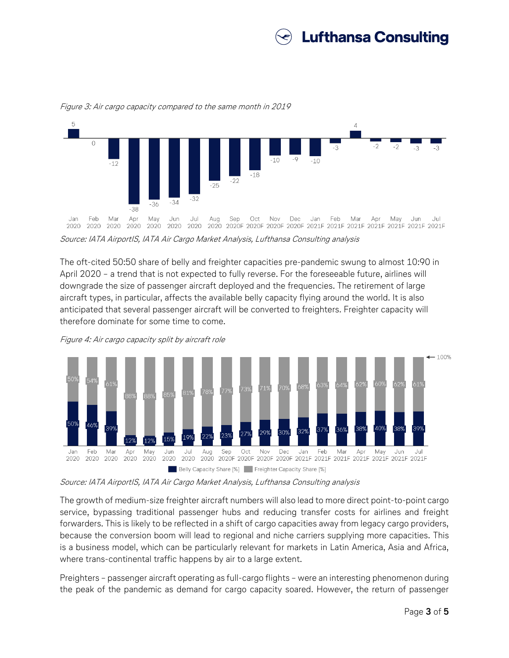



Figure 3: Air cargo capacity compared to the same month in 2019

Source: IATA AirportIS, IATA Air Cargo Market Analysis, Lufthansa Consulting analysis

The oft-cited 50:50 share of belly and freighter capacities pre-pandemic swung to almost 10:90 in April 2020 – a trend that is not expected to fully reverse. For the foreseeable future, airlines will downgrade the size of passenger aircraft deployed and the frequencies. The retirement of large aircraft types, in particular, affects the available belly capacity flying around the world. It is also anticipated that several passenger aircraft will be converted to freighters. Freighter capacity will therefore dominate for some time to come.





Source: IATA AirportIS, IATA Air Cargo Market Analysis, Lufthansa Consulting analysis

The growth of medium-size freighter aircraft numbers will also lead to more direct point-to-point cargo service, bypassing traditional passenger hubs and reducing transfer costs for airlines and freight forwarders. This is likely to be reflected in a shift of cargo capacities away from legacy cargo providers, because the conversion boom will lead to regional and niche carriers supplying more capacities. This is a business model, which can be particularly relevant for markets in Latin America, Asia and Africa, where trans-continental traffic happens by air to a large extent.

Preighters – passenger aircraft operating as full-cargo flights – were an interesting phenomenon during the peak of the pandemic as demand for cargo capacity soared. However, the return of passenger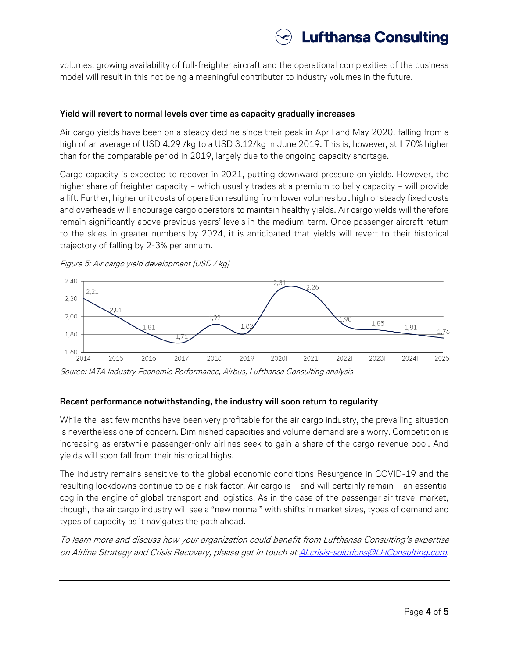

volumes, growing availability of full-freighter aircraft and the operational complexities of the business model will result in this not being a meaningful contributor to industry volumes in the future.

# **Yield will revert to normal levels over time as capacity gradually increases**

Air cargo yields have been on a steady decline since their peak in April and May 2020, falling from a high of an average of USD 4.29 /kg to a USD 3.12/kg in June 2019. This is, however, still 70% higher than for the comparable period in 2019, largely due to the ongoing capacity shortage.

Cargo capacity is expected to recover in 2021, putting downward pressure on yields. However, the higher share of freighter capacity – which usually trades at a premium to belly capacity – will provide a lift. Further, higher unit costs of operation resulting from lower volumes but high or steady fixed costs and overheads will encourage cargo operators to maintain healthy yields. Air cargo yields will therefore remain significantly above previous years' levels in the medium-term. Once passenger aircraft return to the skies in greater numbers by 2024, it is anticipated that yields will revert to their historical trajectory of falling by 2-3% per annum.



Figure 5: Air cargo yield development [USD / kg]

Source: IATA Industry Economic Performance, Airbus, Lufthansa Consulting analysis

# **Recent performance notwithstanding, the industry will soon return to regularity**

While the last few months have been very profitable for the air cargo industry, the prevailing situation is nevertheless one of concern. Diminished capacities and volume demand are a worry. Competition is increasing as erstwhile passenger-only airlines seek to gain a share of the cargo revenue pool. And yields will soon fall from their historical highs.

The industry remains sensitive to the global economic conditions Resurgence in COVID-19 and the resulting lockdowns continue to be a risk factor. Air cargo is – and will certainly remain – an essential cog in the engine of global transport and logistics. As in the case of the passenger air travel market, though, the air cargo industry will see a "new normal" with shifts in market sizes, types of demand and types of capacity as it navigates the path ahead.

To learn more and discuss how your organization could benefit from Lufthansa Consulting's expertise on Airline Strategy and Crisis Recovery, please get in touch at **[ALcrisis-solutions@LHConsulting.com.](mailto:ALcrisis-solutions@LHConsulting.com)**